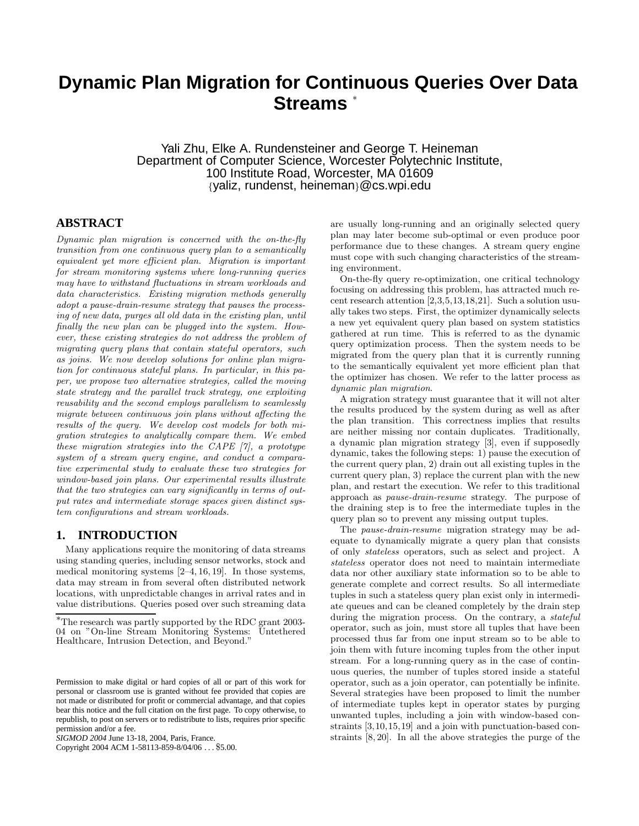# **Dynamic Plan Migration for Continuous Queries Over Data Streams** <sup>∗</sup>

Yali Zhu, Elke A. Rundensteiner and George T. Heineman Department of Computer Science, Worcester Polytechnic Institute, 100 Institute Road, Worcester, MA 01609 {yaliz, rundenst, heineman}@cs.wpi.edu

# **ABSTRACT**

Dynamic plan migration is concerned with the on-the-fly transition from one continuous query plan to a semantically equivalent yet more efficient plan. Migration is important for stream monitoring systems where long-running queries may have to withstand fluctuations in stream workloads and data characteristics. Existing migration methods generally adopt a pause-drain-resume strategy that pauses the processing of new data, purges all old data in the existing plan, until finally the new plan can be plugged into the system. However, these existing strategies do not address the problem of migrating query plans that contain stateful operators, such as joins. We now develop solutions for online plan migration for continuous stateful plans. In particular, in this paper, we propose two alternative strategies, called the moving state strategy and the parallel track strategy, one exploiting reusability and the second employs parallelism to seamlessly migrate between continuous join plans without affecting the results of the query. We develop cost models for both migration strategies to analytically compare them. We embed these migration strategies into the CAPE [7], a prototype system of a stream query engine, and conduct a comparative experimental study to evaluate these two strategies for window-based join plans. Our experimental results illustrate that the two strategies can vary significantly in terms of output rates and intermediate storage spaces given distinct system configurations and stream workloads.

## **1. INTRODUCTION**

Many applications require the monitoring of data streams using standing queries, including sensor networks, stock and medical monitoring systems [2–4, 16, 19]. In those systems, data may stream in from several often distributed network locations, with unpredictable changes in arrival rates and in value distributions. Queries posed over such streaming data

Copyright 2004 ACM 1-58113-859-8/04/06 . . . \$5.00.

are usually long-running and an originally selected query plan may later become sub-optimal or even produce poor performance due to these changes. A stream query engine must cope with such changing characteristics of the streaming environment.

On-the-fly query re-optimization, one critical technology focusing on addressing this problem, has attracted much recent research attention [2,3,5,13,18,21]. Such a solution usually takes two steps. First, the optimizer dynamically selects a new yet equivalent query plan based on system statistics gathered at run time. This is referred to as the dynamic query optimization process. Then the system needs to be migrated from the query plan that it is currently running to the semantically equivalent yet more efficient plan that the optimizer has chosen. We refer to the latter process as dynamic plan migration.

A migration strategy must guarantee that it will not alter the results produced by the system during as well as after the plan transition. This correctness implies that results are neither missing nor contain duplicates. Traditionally, a dynamic plan migration strategy [3], even if supposedly dynamic, takes the following steps: 1) pause the execution of the current query plan, 2) drain out all existing tuples in the current query plan, 3) replace the current plan with the new plan, and restart the execution. We refer to this traditional approach as pause-drain-resume strategy. The purpose of the draining step is to free the intermediate tuples in the query plan so to prevent any missing output tuples.

The pause-drain-resume migration strategy may be adequate to dynamically migrate a query plan that consists of only stateless operators, such as select and project. A stateless operator does not need to maintain intermediate data nor other auxiliary state information so to be able to generate complete and correct results. So all intermediate tuples in such a stateless query plan exist only in intermediate queues and can be cleaned completely by the drain step during the migration process. On the contrary, a stateful operator, such as join, must store all tuples that have been processed thus far from one input stream so to be able to join them with future incoming tuples from the other input stream. For a long-running query as in the case of continuous queries, the number of tuples stored inside a stateful operator, such as a join operator, can potentially be infinite. Several strategies have been proposed to limit the number of intermediate tuples kept in operator states by purging unwanted tuples, including a join with window-based constraints [3,10,15,19] and a join with punctuation-based constraints [8, 20]. In all the above strategies the purge of the

<sup>∗</sup>The research was partly supported by the RDC grant 2003- 04 on "On-line Stream Monitoring Systems: Healthcare, Intrusion Detection, and Beyond."

Permission to make digital or hard copies of all or part of this work for personal or classroom use is granted without fee provided that copies are not made or distributed for profit or commercial advantage, and that copies bear this notice and the full citation on the first page. To copy otherwise, to republish, to post on servers or to redistribute to lists, requires prior specific permission and/or a fee.

*SIGMOD 2004* June 13-18, 2004, Paris, France.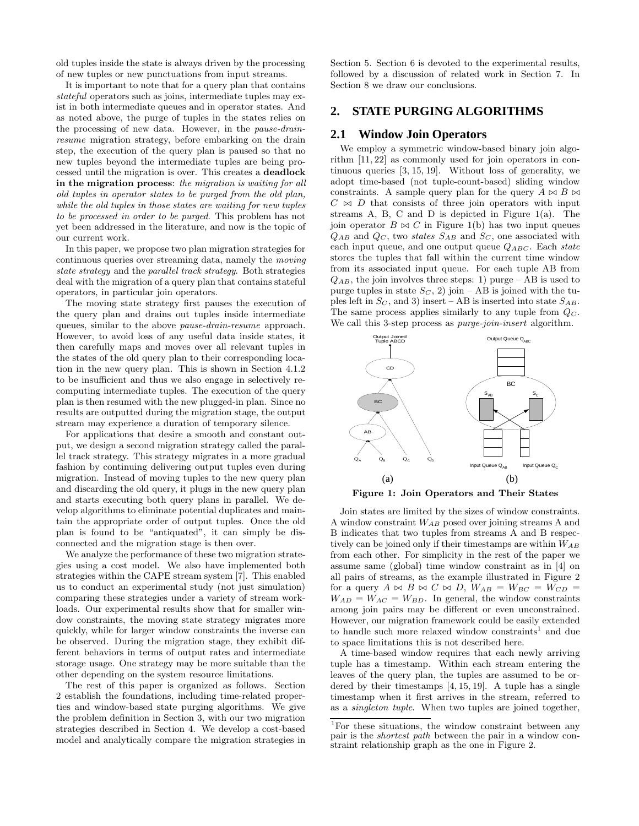old tuples inside the state is always driven by the processing of new tuples or new punctuations from input streams.

It is important to note that for a query plan that contains stateful operators such as joins, intermediate tuples may exist in both intermediate queues and in operator states. And as noted above, the purge of tuples in the states relies on the processing of new data. However, in the pause-drainresume migration strategy, before embarking on the drain step, the execution of the query plan is paused so that no new tuples beyond the intermediate tuples are being processed until the migration is over. This creates a deadlock in the migration process: the migration is waiting for all old tuples in operator states to be purged from the old plan, while the old tuples in those states are waiting for new tuples to be processed in order to be purged. This problem has not yet been addressed in the literature, and now is the topic of our current work.

In this paper, we propose two plan migration strategies for continuous queries over streaming data, namely the moving state strategy and the parallel track strategy. Both strategies deal with the migration of a query plan that contains stateful operators, in particular join operators.

The moving state strategy first pauses the execution of the query plan and drains out tuples inside intermediate queues, similar to the above pause-drain-resume approach. However, to avoid loss of any useful data inside states, it then carefully maps and moves over all relevant tuples in the states of the old query plan to their corresponding location in the new query plan. This is shown in Section 4.1.2 to be insufficient and thus we also engage in selectively recomputing intermediate tuples. The execution of the query plan is then resumed with the new plugged-in plan. Since no results are outputted during the migration stage, the output stream may experience a duration of temporary silence.

For applications that desire a smooth and constant output, we design a second migration strategy called the parallel track strategy. This strategy migrates in a more gradual fashion by continuing delivering output tuples even during migration. Instead of moving tuples to the new query plan and discarding the old query, it plugs in the new query plan and starts executing both query plans in parallel. We develop algorithms to eliminate potential duplicates and maintain the appropriate order of output tuples. Once the old plan is found to be "antiquated", it can simply be disconnected and the migration stage is then over.

We analyze the performance of these two migration strategies using a cost model. We also have implemented both strategies within the CAPE stream system [7]. This enabled us to conduct an experimental study (not just simulation) comparing these strategies under a variety of stream workloads. Our experimental results show that for smaller window constraints, the moving state strategy migrates more quickly, while for larger window constraints the inverse can be observed. During the migration stage, they exhibit different behaviors in terms of output rates and intermediate storage usage. One strategy may be more suitable than the other depending on the system resource limitations.

The rest of this paper is organized as follows. Section 2 establish the foundations, including time-related properties and window-based state purging algorithms. We give the problem definition in Section 3, with our two migration strategies described in Section 4. We develop a cost-based model and analytically compare the migration strategies in Section 5. Section 6 is devoted to the experimental results, followed by a discussion of related work in Section 7. In Section 8 we draw our conclusions.

# **2. STATE PURGING ALGORITHMS**

#### **2.1 Window Join Operators**

We employ a symmetric window-based binary join algorithm [11, 22] as commonly used for join operators in continuous queries [3, 15, 19]. Without loss of generality, we adopt time-based (not tuple-count-based) sliding window constraints. A sample query plan for the query  $A \bowtie B \bowtie$  $C \Join D$  that consists of three join operators with input streams A, B, C and D is depicted in Figure 1(a). The join operator  $B \bowtie C$  in Figure 1(b) has two input queues  $Q_{AB}$  and  $Q_C$ , two states  $S_{AB}$  and  $S_C$ , one associated with each input queue, and one output queue  $Q_{ABC}$ . Each state stores the tuples that fall within the current time window from its associated input queue. For each tuple AB from  $Q_{AB}$ , the join involves three steps: 1) purge – AB is used to purge tuples in state  $S_C$ , 2) join – AB is joined with the tuples left in  $S_C$ , and 3) insert – AB is inserted into state  $S_{AB}$ . The same process applies similarly to any tuple from  $Q_C$ . We call this 3-step process as *purge-join-insert* algorithm.



Figure 1: Join Operators and Their States

Join states are limited by the sizes of window constraints. A window constraint  $W_{AB}$  posed over joining streams A and B indicates that two tuples from streams A and B respectively can be joined only if their timestamps are within  $W_{AB}$ from each other. For simplicity in the rest of the paper we assume same (global) time window constraint as in [4] on all pairs of streams, as the example illustrated in Figure 2 for a query  $A \bowtie B \bowtie C \bowtie D$ ,  $W_{AB} = W_{BC} = W_{CD}$  $W_{AD} = W_{AC} = W_{BD}$ . In general, the window constraints among join pairs may be different or even unconstrained. However, our migration framework could be easily extended to handle such more relaxed window constraints<sup>1</sup> and due to space limitations this is not described here.

A time-based window requires that each newly arriving tuple has a timestamp. Within each stream entering the leaves of the query plan, the tuples are assumed to be ordered by their timestamps [4, 15, 19]. A tuple has a single timestamp when it first arrives in the stream, referred to as a singleton tuple. When two tuples are joined together,

<sup>1</sup>For these situations, the window constraint between any pair is the shortest path between the pair in a window constraint relationship graph as the one in Figure 2.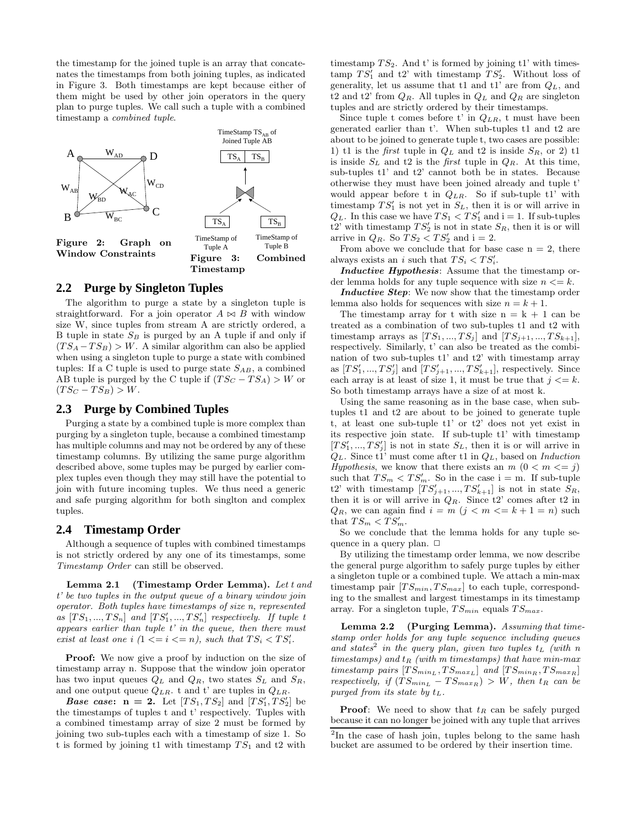the timestamp for the joined tuple is an array that concatenates the timestamps from both joining tuples, as indicated in Figure 3. Both timestamps are kept because either of them might be used by other join operators in the query plan to purge tuples. We call such a tuple with a combined timestamp a combined tuple.



## **2.2 Purge by Singleton Tuples**

The algorithm to purge a state by a singleton tuple is straightforward. For a join operator  $A \Join B$  with window size W, since tuples from stream A are strictly ordered, a B tuple in state  $S_B$  is purged by an A tuple if and only if  $(TS_A - TS_B) > W$ . A similar algorithm can also be applied when using a singleton tuple to purge a state with combined tuples: If a C tuple is used to purge state  $S_{AB}$ , a combined AB tuple is purged by the C tuple if  $(T S_C - T S_A) > W$  or  $(TS_C - TS_B) > W$ .

## **2.3 Purge by Combined Tuples**

Purging a state by a combined tuple is more complex than purging by a singleton tuple, because a combined timestamp has multiple columns and may not be ordered by any of these timestamp columns. By utilizing the same purge algorithm described above, some tuples may be purged by earlier complex tuples even though they may still have the potential to join with future incoming tuples. We thus need a generic and safe purging algorithm for both singlton and complex tuples.

## **2.4 Timestamp Order**

Although a sequence of tuples with combined timestamps is not strictly ordered by any one of its timestamps, some Timestamp Order can still be observed.

Lemma 2.1 (Timestamp Order Lemma). Let t and t' be two tuples in the output queue of a binary window join operator. Both tuples have timestamps of size n, represented as  $[TS_1, ..., TS_n]$  and  $[TS'_1, ..., TS'_n]$  respectively. If tuple t appears earlier than tuple t' in the queue, then there must exist at least one i  $(1 \leq i \leq n)$ , such that  $TS_i < TS'_i$ .

**Proof:** We now give a proof by induction on the size of timestamp array n. Suppose that the window join operator has two input queues  $Q_L$  and  $Q_R$ , two states  $S_L$  and  $S_R$ , and one output queue  $Q_{LR}$ . t and t' are tuples in  $Q_{LR}$ .

**Base case:**  $\mathbf{n} = 2$ . Let  $[TS_1, TS_2]$  and  $[TS'_1, TS'_2]$  be the timestamps of tuples t and t' respectively. Tuples with a combined timestamp array of size 2 must be formed by joining two sub-tuples each with a timestamp of size 1. So t is formed by joining t1 with timestamp  $TS_1$  and t2 with timestamp  $TS_2$ . And t' is formed by joining t1' with timestamp  $TS'_1$  and t2' with timestamp  $TS'_2$ . Without loss of generality, let us assume that t1 and t1' are from  $Q_L$ , and t2 and t2' from  $Q_R$ . All tuples in  $Q_L$  and  $Q_R$  are singleton tuples and are strictly ordered by their timestamps.

Since tuple t comes before t' in  $Q_{LR}$ , t must have been generated earlier than t'. When sub-tuples t1 and t2 are about to be joined to generate tuple t, two cases are possible: 1) t1 is the *first* tuple in  $Q_L$  and t2 is inside  $S_R$ , or 2) t1 is inside  $S_L$  and t2 is the *first* tuple in  $Q_R$ . At this time, sub-tuples t1' and t2' cannot both be in states. Because otherwise they must have been joined already and tuple t' would appear before t in  $Q_{LR}$ . So if sub-tuple t1' with timestamp  $TS'_1$  is not yet in  $S_L$ , then it is or will arrive in  $Q_L$ . In this case we have  $TS_1 < TS'_1$  and  $i = 1$ . If sub-tuples  $t2'$  with timestamp  $TS'_2$  is not in state  $S_R$ , then it is or will arrive in  $Q_R$ . So  $TS_2 < TS'_2$  and i = 2.

From above we conclude that for base case  $n = 2$ , there always exists an i such that  $TS_i < TS'_i$ .

Inductive Hypothesis: Assume that the timestamp order lemma holds for any tuple sequence with size  $n \leq k$ .

Inductive Step: We now show that the timestamp order lemma also holds for sequences with size  $n = k + 1$ .

The timestamp array for t with size  $n = k + 1$  can be treated as a combination of two sub-tuples t1 and t2 with timestamp arrays as  $[TS_1, ..., TS_j]$  and  $[TS_{j+1}, ..., TS_{k+1}],$ respectively. Similarly, t' can also be treated as the combination of two sub-tuples t1' and t2' with timestamp array as  $[TS'_1, ..., TS'_j]$  and  $[TS'_{j+1}, ..., TS'_{k+1}]$ , respectively. Since each array is at least of size 1, it must be true that  $j \leq k$ . So both timestamp arrays have a size of at most k.

Using the same reasoning as in the base case, when subtuples t1 and t2 are about to be joined to generate tuple t, at least one sub-tuple t1' or t2' does not yet exist in its respective join state. If sub-tuple t1' with timestamp  $[TS'_1, ..., TS'_j]$  is not in state  $S_L$ , then it is or will arrive in  $Q_L$ . Since t1' must come after t1 in  $Q_L$ , based on *Induction* Hypothesis, we know that there exists an  $m(0 < m \leq j)$ such that  $TS_m < TS'_m$ . So in the case i = m. If sub-tuple t2' with timestamp  $[TS'_{j+1},...,TS'_{k+1}]$  is not in state  $S_R$ , then it is or will arrive in  $Q_R$ . Since t2' comes after t2 in  $Q_R$ , we can again find  $i = m$   $(j < m < = k + 1 = n)$  such that  $TS_m < \overline{TS'_m}$ .

So we conclude that the lemma holds for any tuple sequence in a query plan.  $\Box$ 

By utilizing the timestamp order lemma, we now describe the general purge algorithm to safely purge tuples by either a singleton tuple or a combined tuple. We attach a min-max timestamp pair  $[T S_{min}, T S_{max}]$  to each tuple, corresponding to the smallest and largest timestamps in its timestamp array. For a singleton tuple,  $TS_{min}$  equals  $TS_{max}$ .

Lemma 2.2 (Purging Lemma). Assuming that timestamp order holds for any tuple sequence including queues and states<sup>2</sup> in the query plan, given two tuples  $t_L$  (with n timestamps) and  $t_R$  (with m timestamps) that have min-max timestamp pairs  $[T S_{min_L}, T S_{max_L}]$  and  $[T S_{min_R}, T S_{max_R}]$ respectively, if  $(T S_{min_L} - T S_{max_R}) > W$ , then  $t_R$  can be purged from its state by  $t_L$ .

**Proof:** We need to show that  $t_R$  can be safely purged because it can no longer be joined with any tuple that arrives

<sup>&</sup>lt;sup>2</sup>In the case of hash join, tuples belong to the same hash bucket are assumed to be ordered by their insertion time.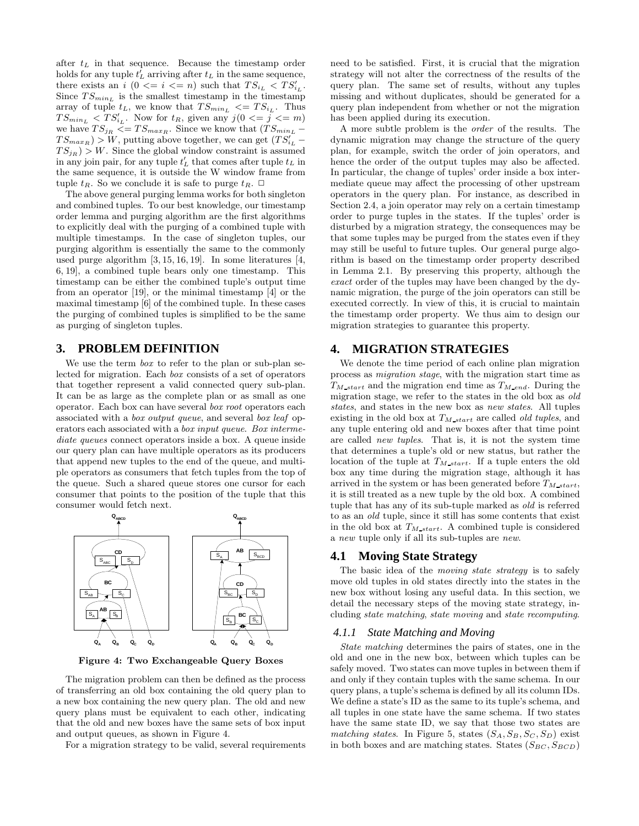after  $t_L$  in that sequence. Because the timestamp order holds for any tuple  $t_L^{\prime}$  arriving after  $t_L$  in the same sequence, there exists an i  $(0 \leq i \leq n)$  such that  $TS_{i_L} < TS'_{i_L}$ . Since  $TS_{min_L}$  is the smallest timestamp in the timestamp array of tuple  $t_L$ , we know that  $TS_{min_L} \leq T S_{i_L}$ . Thus  $TS_{min_L}$  <  $TS'_{i_L}$ . Now for  $t_R$ , given any  $j(0 \leq j \leq m)$ we have  $TS_{jR} \leq TS_{max_R}$ . Since we know that  $(TS_{min_L} TS_{max_R}$ ) > W, putting above together, we can get  $(TS'_{i_L} - TS_{i_R})$  $TS_{jR}$ ) > W. Since the global window constraint is assumed in any join pair, for any tuple  $t'_L$  that comes after tuple  $t_L$  in the same sequence, it is outside the W window frame from tuple  $t_R$ . So we conclude it is safe to purge  $t_R$ .  $\Box$ 

The above general purging lemma works for both singleton and combined tuples. To our best knowledge, our timestamp order lemma and purging algorithm are the first algorithms to explicitly deal with the purging of a combined tuple with multiple timestamps. In the case of singleton tuples, our purging algorithm is essentially the same to the commonly used purge algorithm [3, 15, 16, 19]. In some literatures [4, 6, 19], a combined tuple bears only one timestamp. This timestamp can be either the combined tuple's output time from an operator [19], or the minimal timestamp [4] or the maximal timestamp [6] of the combined tuple. In these cases the purging of combined tuples is simplified to be the same as purging of singleton tuples.

## **3. PROBLEM DEFINITION**

We use the term  $box$  to refer to the plan or sub-plan selected for migration. Each box consists of a set of operators that together represent a valid connected query sub-plan. It can be as large as the complete plan or as small as one operator. Each box can have several box root operators each associated with a box output queue, and several box leaf operators each associated with a box input queue. Box intermediate queues connect operators inside a box. A queue inside our query plan can have multiple operators as its producers that append new tuples to the end of the queue, and multiple operators as consumers that fetch tuples from the top of the queue. Such a shared queue stores one cursor for each consumer that points to the position of the tuple that this consumer would fetch next.



Figure 4: Two Exchangeable Query Boxes

The migration problem can then be defined as the process of transferring an old box containing the old query plan to a new box containing the new query plan. The old and new query plans must be equivalent to each other, indicating that the old and new boxes have the same sets of box input and output queues, as shown in Figure 4.

For a migration strategy to be valid, several requirements

need to be satisfied. First, it is crucial that the migration strategy will not alter the correctness of the results of the query plan. The same set of results, without any tuples missing and without duplicates, should be generated for a query plan independent from whether or not the migration has been applied during its execution.

A more subtle problem is the order of the results. The dynamic migration may change the structure of the query plan, for example, switch the order of join operators, and hence the order of the output tuples may also be affected. In particular, the change of tuples' order inside a box intermediate queue may affect the processing of other upstream operators in the query plan. For instance, as described in Section 2.4, a join operator may rely on a certain timestamp order to purge tuples in the states. If the tuples' order is disturbed by a migration strategy, the consequences may be that some tuples may be purged from the states even if they may still be useful to future tuples. Our general purge algorithm is based on the timestamp order property described in Lemma 2.1. By preserving this property, although the exact order of the tuples may have been changed by the dynamic migration, the purge of the join operators can still be executed correctly. In view of this, it is crucial to maintain the timestamp order property. We thus aim to design our migration strategies to guarantee this property.

## **4. MIGRATION STRATEGIES**

We denote the time period of each online plan migration process as migration stage, with the migration start time as  $T_{M\_start}$  and the migration end time as  $T_{M\_end}$ . During the migration stage, we refer to the states in the old box as old states, and states in the new box as new states. All tuples existing in the old box at  $T_{M\_start}$  are called *old tuples*, and any tuple entering old and new boxes after that time point are called new tuples. That is, it is not the system time that determines a tuple's old or new status, but rather the location of the tuple at  $T_{M\_start}$ . If a tuple enters the old box any time during the migration stage, although it has arrived in the system or has been generated before  $T_{M\_start}$ , it is still treated as a new tuple by the old box. A combined tuple that has any of its sub-tuple marked as old is referred to as an old tuple, since it still has some contents that exist in the old box at  $T_{M\_start}$ . A combined tuple is considered a new tuple only if all its sub-tuples are new.

# **4.1 Moving State Strategy**

The basic idea of the *moving state strategy* is to safely move old tuples in old states directly into the states in the new box without losing any useful data. In this section, we detail the necessary steps of the moving state strategy, including state matching, state moving and state recomputing.

#### *4.1.1 State Matching and Moving*

State matching determines the pairs of states, one in the old and one in the new box, between which tuples can be safely moved. Two states can move tuples in between them if and only if they contain tuples with the same schema. In our query plans, a tuple's schema is defined by all its column IDs. We define a state's ID as the same to its tuple's schema, and all tuples in one state have the same schema. If two states have the same state ID, we say that those two states are matching states. In Figure 5, states  $(S_A, S_B, S_C, S_D)$  exist in both boxes and are matching states. States  $(S_{BC}, S_{BCD})$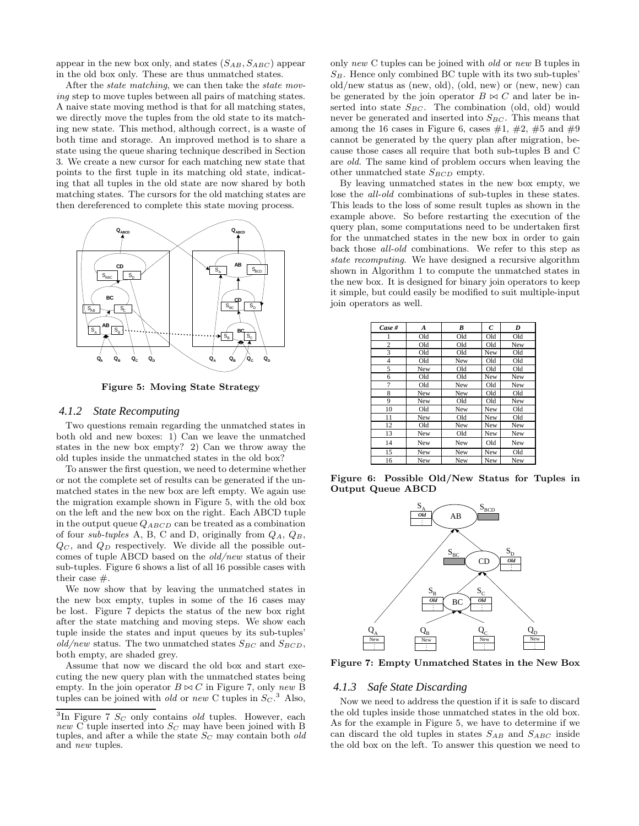appear in the new box only, and states  $(S_{AB}, S_{ABC})$  appear in the old box only. These are thus unmatched states.

After the state matching, we can then take the state moving step to move tuples between all pairs of matching states. A naive state moving method is that for all matching states, we directly move the tuples from the old state to its matching new state. This method, although correct, is a waste of both time and storage. An improved method is to share a state using the queue sharing technique described in Section 3. We create a new cursor for each matching new state that points to the first tuple in its matching old state, indicating that all tuples in the old state are now shared by both matching states. The cursors for the old matching states are then dereferenced to complete this state moving process.



Figure 5: Moving State Strategy

#### *4.1.2 State Recomputing*

Two questions remain regarding the unmatched states in both old and new boxes: 1) Can we leave the unmatched states in the new box empty? 2) Can we throw away the old tuples inside the unmatched states in the old box?

To answer the first question, we need to determine whether or not the complete set of results can be generated if the unmatched states in the new box are left empty. We again use the migration example shown in Figure 5, with the old box on the left and the new box on the right. Each ABCD tuple in the output queue  $Q_{ABCD}$  can be treated as a combination of four sub-tuples A, B, C and D, originally from  $Q_A$ ,  $Q_B$ ,  $Q_C$ , and  $Q_D$  respectively. We divide all the possible outcomes of tuple ABCD based on the old/new status of their sub-tuples. Figure 6 shows a list of all 16 possible cases with their case #.

We now show that by leaving the unmatched states in the new box empty, tuples in some of the 16 cases may be lost. Figure 7 depicts the status of the new box right after the state matching and moving steps. We show each tuple inside the states and input queues by its sub-tuples' old/new status. The two unmatched states  $S_{BC}$  and  $S_{BCD}$ , both empty, are shaded grey.

Assume that now we discard the old box and start executing the new query plan with the unmatched states being empty. In the join operator  $B \bowtie C$  in Figure 7, only new B tuples can be joined with *old* or new C tuples in  $S_C$ .<sup>3</sup> Also,

only new C tuples can be joined with old or new B tuples in  $S_B$ . Hence only combined BC tuple with its two sub-tuples' old/new status as (new, old), (old, new) or (new, new) can be generated by the join operator  $B \bowtie C$  and later be inserted into state  $S_{BC}$ . The combination (old, old) would never be generated and inserted into  $S_{BC}$ . This means that among the 16 cases in Figure 6, cases  $\#1, \#2, \#5$  and  $\#9$ cannot be generated by the query plan after migration, because those cases all require that both sub-tuples B and C are old. The same kind of problem occurs when leaving the other unmatched state  $S_{BCD}$  empty.

By leaving unmatched states in the new box empty, we lose the all-old combinations of sub-tuples in these states. This leads to the loss of some result tuples as shown in the example above. So before restarting the execution of the query plan, some computations need to be undertaken first for the unmatched states in the new box in order to gain back those all-old combinations. We refer to this step as state recomputing. We have designed a recursive algorithm shown in Algorithm 1 to compute the unmatched states in the new box. It is designed for binary join operators to keep it simple, but could easily be modified to suit multiple-input join operators as well.

| Case #         | A   | B   | $\mathcal{C}_{0}^{2}$ | D   |  |
|----------------|-----|-----|-----------------------|-----|--|
| 1              | Old | Old | Old                   | Old |  |
| $\overline{c}$ | Old | Old | Old                   | New |  |
| 3              | Old | Old | New                   | Old |  |
| $\overline{4}$ | Old | New | Old                   | Old |  |
| 5              | New | Old | Old                   | Old |  |
| 6              | Old | Old | New                   | New |  |
| $\overline{7}$ | Old | New | Old                   | New |  |
| 8              | New | New | Old                   | Old |  |
| 9              | New | Old | Old                   | New |  |
| 10             | Old | New | New                   | Old |  |
| 11             | New | Old | New                   | Old |  |
| 12             | Old | New | New                   | New |  |
| 13             | New | Old | New                   | New |  |
| 14             | New | New | Old                   | New |  |
| 15             | New | New | New                   | Old |  |
| 16             | New | New | New                   | New |  |

Figure 6: Possible Old/New Status for Tuples in Output Queue ABCD



Figure 7: Empty Unmatched States in the New Box

#### *4.1.3 Safe State Discarding*

Now we need to address the question if it is safe to discard the old tuples inside those unmatched states in the old box. As for the example in Figure 5, we have to determine if we can discard the old tuples in states  $S_{AB}$  and  $S_{ABC}$  inside the old box on the left. To answer this question we need to

<sup>&</sup>lt;sup>3</sup>In Figure 7  $S_C$  only contains *old* tuples. However, each new C tuple inserted into  $S_C$  may have been joined with B tuples, and after a while the state  $S_C$  may contain both old and new tuples.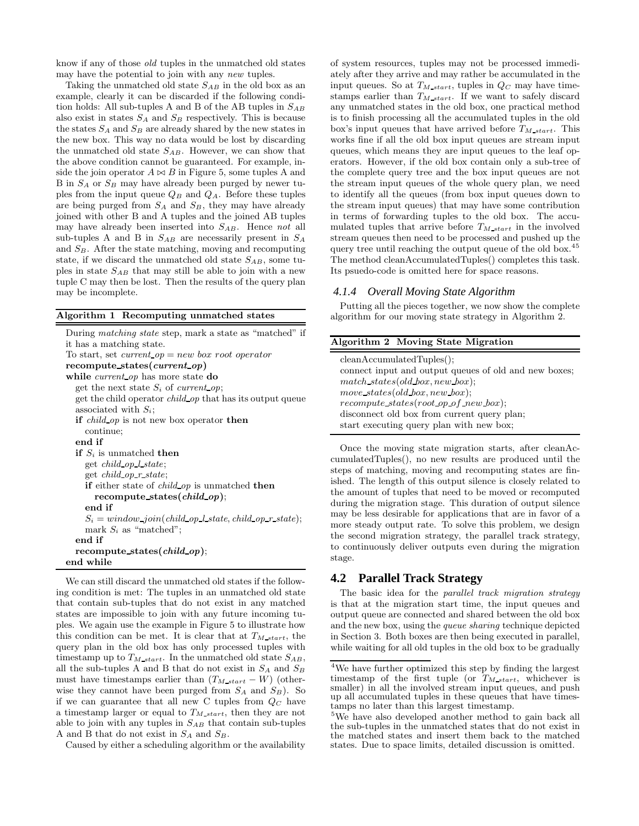know if any of those old tuples in the unmatched old states may have the potential to join with any new tuples.

Taking the unmatched old state  $S_{AB}$  in the old box as an example, clearly it can be discarded if the following condition holds: All sub-tuples A and B of the AB tuples in  $S_{AB}$ also exist in states  $S_A$  and  $S_B$  respectively. This is because the states  $S_A$  and  $S_B$  are already shared by the new states in the new box. This way no data would be lost by discarding the unmatched old state  $S_{AB}$ . However, we can show that the above condition cannot be guaranteed. For example, inside the join operator  $A \bowtie B$  in Figure 5, some tuples A and B in  $S_A$  or  $S_B$  may have already been purged by newer tuples from the input queue  $Q_B$  and  $Q_A$ . Before these tuples are being purged from  $S_A$  and  $S_B$ , they may have already joined with other B and A tuples and the joined AB tuples may have already been inserted into  $S_{AB}$ . Hence not all sub-tuples A and B in  $S_{AB}$  are necessarily present in  $S_A$ and  $S_B$ . After the state matching, moving and recomputing state, if we discard the unmatched old state  $S_{AB}$ , some tuples in state  $S_{AB}$  that may still be able to join with a new tuple C may then be lost. Then the results of the query plan may be incomplete.

#### Algorithm 1 Recomputing unmatched states

| it has a matching state.<br>To start, set <i>current</i> $op = new$ box root operator<br>recompute_states(current_op)<br>while <i>current op</i> has more state do<br>get the next state $S_i$ of current op;<br>get the child operator <i>child op</i> that has its output queue<br>associated with $S_i$ ;<br><b>if</b> <i>child_op</i> is not new box operator <b>then</b><br>continue;<br>end if |
|------------------------------------------------------------------------------------------------------------------------------------------------------------------------------------------------------------------------------------------------------------------------------------------------------------------------------------------------------------------------------------------------------|
|                                                                                                                                                                                                                                                                                                                                                                                                      |
|                                                                                                                                                                                                                                                                                                                                                                                                      |
|                                                                                                                                                                                                                                                                                                                                                                                                      |
|                                                                                                                                                                                                                                                                                                                                                                                                      |
|                                                                                                                                                                                                                                                                                                                                                                                                      |
|                                                                                                                                                                                                                                                                                                                                                                                                      |
|                                                                                                                                                                                                                                                                                                                                                                                                      |
|                                                                                                                                                                                                                                                                                                                                                                                                      |
|                                                                                                                                                                                                                                                                                                                                                                                                      |
|                                                                                                                                                                                                                                                                                                                                                                                                      |
| <b>if</b> $S_i$ is unmatched <b>then</b>                                                                                                                                                                                                                                                                                                                                                             |
| get <i>child op l state</i> ;                                                                                                                                                                                                                                                                                                                                                                        |
| get <i>child op r state</i> ;                                                                                                                                                                                                                                                                                                                                                                        |
| <b>if</b> either state of <i>child op</i> is unmatched <b>then</b>                                                                                                                                                                                                                                                                                                                                   |
| recompute_states( <i>child_op</i> );                                                                                                                                                                                                                                                                                                                                                                 |
| end if                                                                                                                                                                                                                                                                                                                                                                                               |
| $S_i = window\_join(child_op_l\_state, child_op_r\_state);$                                                                                                                                                                                                                                                                                                                                          |
| mark $S_i$ as "matched";                                                                                                                                                                                                                                                                                                                                                                             |
| end if                                                                                                                                                                                                                                                                                                                                                                                               |
| recompute_states( <i>child_op</i> );                                                                                                                                                                                                                                                                                                                                                                 |
| end while                                                                                                                                                                                                                                                                                                                                                                                            |

We can still discard the unmatched old states if the following condition is met: The tuples in an unmatched old state that contain sub-tuples that do not exist in any matched states are impossible to join with any future incoming tuples. We again use the example in Figure 5 to illustrate how this condition can be met. It is clear that at  $T_{M\_start}$ , the query plan in the old box has only processed tuples with timestamp up to  $T_{M\_start}$ . In the unmatched old state  $S_{AB}$ , all the sub-tuples A and B that do not exist in  $S_A$  and  $S_B$ must have timestamps earlier than  $(T_{M\_start} - W)$  (otherwise they cannot have been purged from  $S_A$  and  $S_B$ ). So if we can guarantee that all new C tuples from  $Q_C$  have a timestamp larger or equal to  $T_{M\_start}$ , then they are not able to join with any tuples in  $S_{AB}$  that contain sub-tuples A and B that do not exist in  $S_A$  and  $S_B$ .

Caused by either a scheduling algorithm or the availability

of system resources, tuples may not be processed immediately after they arrive and may rather be accumulated in the input queues. So at  $T_{M\_start}$ , tuples in  $Q_C$  may have timestamps earlier than  $T_{M\_start}$ . If we want to safely discard any unmatched states in the old box, one practical method is to finish processing all the accumulated tuples in the old box's input queues that have arrived before  $T_{M, start}$ . This works fine if all the old box input queues are stream input queues, which means they are input queues to the leaf operators. However, if the old box contain only a sub-tree of the complete query tree and the box input queues are not the stream input queues of the whole query plan, we need to identify all the queues (from box input queues down to the stream input queues) that may have some contribution in terms of forwarding tuples to the old box. The accumulated tuples that arrive before  $T_{M\_start}$  in the involved stream queues then need to be processed and pushed up the query tree until reaching the output queue of the old box.<sup>45</sup> The method cleanAccumulatedTuples() completes this task. Its psuedo-code is omitted here for space reasons.

#### *4.1.4 Overall Moving State Algorithm*

Putting all the pieces together, we now show the complete algorithm for our moving state strategy in Algorithm 2.

| Algorithm 2 Moving State Migration                    |
|-------------------------------------------------------|
| cleanAccumulatedTuples();                             |
| connect input and output queues of old and new boxes; |
| $match\_states(old-box, new\_box);$                   |
| move_states(old_box, new_box);                        |
| $recompute\_states(root op of_new-box);$              |
| disconnect old box from current query plan;           |
| start executing query plan with new box;              |

Once the moving state migration starts, after cleanAccumulatedTuples(), no new results are produced until the steps of matching, moving and recomputing states are finished. The length of this output silence is closely related to the amount of tuples that need to be moved or recomputed during the migration stage. This duration of output silence may be less desirable for applications that are in favor of a more steady output rate. To solve this problem, we design the second migration strategy, the parallel track strategy, to continuously deliver outputs even during the migration stage.

# **4.2 Parallel Track Strategy**

The basic idea for the *parallel track migration strategy* is that at the migration start time, the input queues and output queue are connected and shared between the old box and the new box, using the queue sharing technique depicted in Section 3. Both boxes are then being executed in parallel, while waiting for all old tuples in the old box to be gradually

<sup>4</sup>We have further optimized this step by finding the largest timestamp of the first tuple (or  $T_{M\_start}$ , whichever is smaller) in all the involved stream input queues, and push up all accumulated tuples in these queues that have timestamps no later than this largest timestamp.

<sup>&</sup>lt;sup>5</sup>We have also developed another method to gain back all the sub-tuples in the unmatched states that do not exist in the matched states and insert them back to the matched states. Due to space limits, detailed discussion is omitted.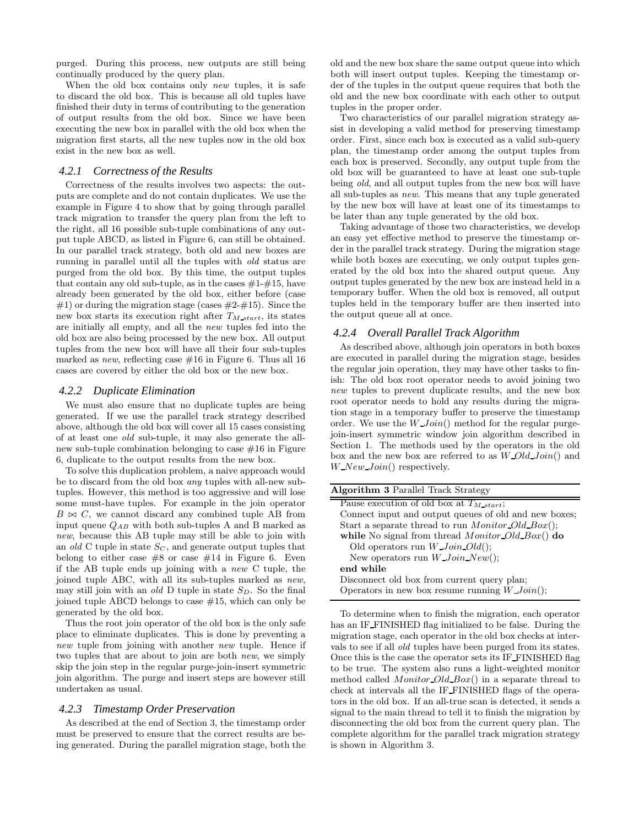purged. During this process, new outputs are still being continually produced by the query plan.

When the old box contains only *new* tuples, it is safe to discard the old box. This is because all old tuples have finished their duty in terms of contributing to the generation of output results from the old box. Since we have been executing the new box in parallel with the old box when the migration first starts, all the new tuples now in the old box exist in the new box as well.

#### *4.2.1 Correctness of the Results*

Correctness of the results involves two aspects: the outputs are complete and do not contain duplicates. We use the example in Figure 4 to show that by going through parallel track migration to transfer the query plan from the left to the right, all 16 possible sub-tuple combinations of any output tuple ABCD, as listed in Figure 6, can still be obtained. In our parallel track strategy, both old and new boxes are running in parallel until all the tuples with old status are purged from the old box. By this time, the output tuples that contain any old sub-tuple, as in the cases  $\#1-\#15$ , have already been generated by the old box, either before (case  $#1$ ) or during the migration stage (cases  $#2-#15$ ). Since the new box starts its execution right after  $T_{M\_start}$ , its states are initially all empty, and all the new tuples fed into the old box are also being processed by the new box. All output tuples from the new box will have all their four sub-tuples marked as *new*, reflecting case  $#16$  in Figure 6. Thus all 16 cases are covered by either the old box or the new box.

## *4.2.2 Duplicate Elimination*

We must also ensure that no duplicate tuples are being generated. If we use the parallel track strategy described above, although the old box will cover all 15 cases consisting of at least one old sub-tuple, it may also generate the allnew sub-tuple combination belonging to case  $\#16$  in Figure 6, duplicate to the output results from the new box.

To solve this duplication problem, a naive approach would be to discard from the old box any tuples with all-new subtuples. However, this method is too aggressive and will lose some must-have tuples. For example in the join operator  $B \bowtie C$ , we cannot discard any combined tuple AB from input queue  $Q_{AB}$  with both sub-tuples A and B marked as new, because this AB tuple may still be able to join with an old C tuple in state  $S_C$ , and generate output tuples that belong to either case  $#8$  or case  $#14$  in Figure 6. Even if the AB tuple ends up joining with a new C tuple, the joined tuple ABC, with all its sub-tuples marked as new, may still join with an old D tuple in state  $S_D$ . So the final joined tuple ABCD belongs to case #15, which can only be generated by the old box.

Thus the root join operator of the old box is the only safe place to eliminate duplicates. This is done by preventing a new tuple from joining with another new tuple. Hence if two tuples that are about to join are both new, we simply skip the join step in the regular purge-join-insert symmetric join algorithm. The purge and insert steps are however still undertaken as usual.

#### *4.2.3 Timestamp Order Preservation*

As described at the end of Section 3, the timestamp order must be preserved to ensure that the correct results are being generated. During the parallel migration stage, both the

old and the new box share the same output queue into which both will insert output tuples. Keeping the timestamp order of the tuples in the output queue requires that both the old and the new box coordinate with each other to output tuples in the proper order.

Two characteristics of our parallel migration strategy assist in developing a valid method for preserving timestamp order. First, since each box is executed as a valid sub-query plan, the timestamp order among the output tuples from each box is preserved. Secondly, any output tuple from the old box will be guaranteed to have at least one sub-tuple being old, and all output tuples from the new box will have all sub-tuples as new. This means that any tuple generated by the new box will have at least one of its timestamps to be later than any tuple generated by the old box.

Taking advantage of those two characteristics, we develop an easy yet effective method to preserve the timestamp order in the parallel track strategy. During the migration stage while both boxes are executing, we only output tuples generated by the old box into the shared output queue. Any output tuples generated by the new box are instead held in a temporary buffer. When the old box is removed, all output tuples held in the temporary buffer are then inserted into the output queue all at once.

## *4.2.4 Overall Parallel Track Algorithm*

As described above, although join operators in both boxes are executed in parallel during the migration stage, besides the regular join operation, they may have other tasks to finish: The old box root operator needs to avoid joining two new tuples to prevent duplicate results, and the new box root operator needs to hold any results during the migration stage in a temporary buffer to preserve the timestamp order. We use the  $W\_Join()$  method for the regular purgejoin-insert symmetric window join algorithm described in Section 1. The methods used by the operators in the old box and the new box are referred to as  $W\text{ }\text{Old }Join()$  and  $W_{\mathcal{N}}$ ew Join() respectively.

| <b>Algorithm 3 Parallel Track Strategy</b>                |
|-----------------------------------------------------------|
| Pause execution of old box at $T_{M\_start}$ ;            |
| Connect input and output queues of old and new boxes;     |
| Start a separate thread to run <i>Monitor Old Box</i> (); |
| while No signal from thread Monitor Old Box() do          |
| Old operators run $W\_{Join} Old();$                      |
| New operators run W Join New();                           |
| end while                                                 |
| Disconnect old box from current query plan;               |
| Operators in new box resume running $W\_{Join}()$ ;       |

To determine when to finish the migration, each operator has an IF FINISHED flag initialized to be false. During the migration stage, each operator in the old box checks at intervals to see if all old tuples have been purged from its states. Once this is the case the operator sets its IF FINISHED flag to be true. The system also runs a light-weighted monitor method called *Monitor\_Old\_Box*() in a separate thread to check at intervals all the IF FINISHED flags of the operators in the old box. If an all-true scan is detected, it sends a signal to the main thread to tell it to finish the migration by disconnecting the old box from the current query plan. The complete algorithm for the parallel track migration strategy is shown in Algorithm 3.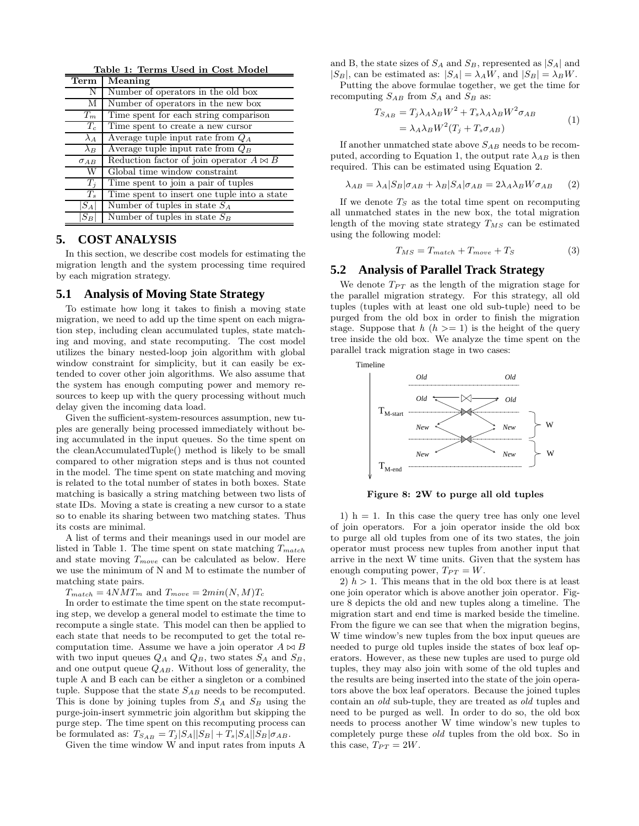| Table 1: Terms Used in Cost Model |                                                 |  |  |  |
|-----------------------------------|-------------------------------------------------|--|--|--|
| Term                              | Meaning                                         |  |  |  |
| N                                 | Number of operators in the old box              |  |  |  |
| M                                 | Number of operators in the new box              |  |  |  |
| $T_m$                             | Time spent for each string comparison           |  |  |  |
| $T_c$                             | Time spent to create a new cursor               |  |  |  |
| $\lambda_A$                       | Average tuple input rate from $Q_A$             |  |  |  |
| $\lambda_B$                       | Average tuple input rate from $Q_B$             |  |  |  |
| $\sigma_{AB}$                     | Reduction factor of join operator $A \bowtie B$ |  |  |  |
| W                                 | Global time window constraint                   |  |  |  |
| $T_i$                             | Time spent to join a pair of tuples             |  |  |  |
| $T_{s}$                           | Time spent to insert one tuple into a state     |  |  |  |
| $ S_A $                           | Number of tuples in state $S_A$                 |  |  |  |
| $S_B$                             | Number of tuples in state $S_B$                 |  |  |  |

## **5. COST ANALYSIS**

In this section, we describe cost models for estimating the migration length and the system processing time required by each migration strategy.

## **5.1 Analysis of Moving State Strategy**

To estimate how long it takes to finish a moving state migration, we need to add up the time spent on each migration step, including clean accumulated tuples, state matching and moving, and state recomputing. The cost model utilizes the binary nested-loop join algorithm with global window constraint for simplicity, but it can easily be extended to cover other join algorithms. We also assume that the system has enough computing power and memory resources to keep up with the query processing without much delay given the incoming data load.

Given the sufficient-system-resources assumption, new tuples are generally being processed immediately without being accumulated in the input queues. So the time spent on the cleanAccumulatedTuple() method is likely to be small compared to other migration steps and is thus not counted in the model. The time spent on state matching and moving is related to the total number of states in both boxes. State matching is basically a string matching between two lists of state IDs. Moving a state is creating a new cursor to a state so to enable its sharing between two matching states. Thus its costs are minimal.

A list of terms and their meanings used in our model are listed in Table 1. The time spent on state matching  $T_{match}$ and state moving  $T_{move}$  can be calculated as below. Here we use the minimum of N and M to estimate the number of matching state pairs.

 $T_{match} = 4NMT_m$  and  $T_{move} = 2min(N, M)T_c$ 

In order to estimate the time spent on the state recomputing step, we develop a general model to estimate the time to recompute a single state. This model can then be applied to each state that needs to be recomputed to get the total recomputation time. Assume we have a join operator  $A \bowtie B$ with two input queues  $Q_A$  and  $Q_B$ , two states  $S_A$  and  $S_B$ , and one output queue  $Q_{AB}$ . Without loss of generality, the tuple A and B each can be either a singleton or a combined tuple. Suppose that the state  $S_{AB}$  needs to be recomputed. This is done by joining tuples from  $S_A$  and  $S_B$  using the purge-join-insert symmetric join algorithm but skipping the purge step. The time spent on this recomputing process can be formulated as:  $T_{S_{AB}} = T_j |S_A||S_B| + T_s |S_A||S_B|\sigma_{AB}$ .

Given the time window W and input rates from inputs A

and B, the state sizes of  $S_A$  and  $S_B$ , represented as  $|S_A|$  and  $|S_B|$ , can be estimated as:  $|S_A| = \lambda_A W$ , and  $|S_B| = \lambda_B W$ .

Putting the above formulae together, we get the time for recomputing  $S_{AB}$  from  $S_A$  and  $S_B$  as:

$$
T_{S_{AB}} = T_j \lambda_A \lambda_B W^2 + T_s \lambda_A \lambda_B W^2 \sigma_{AB}
$$
  
=  $\lambda_A \lambda_B W^2 (T_j + T_s \sigma_{AB})$  (1)

If another unmatched state above  $S_{AB}$  needs to be recomputed, according to Equation 1, the output rate  $\lambda_{AB}$  is then required. This can be estimated using Equation 2.

$$
\lambda_{AB} = \lambda_A |S_B|\sigma_{AB} + \lambda_B |S_A|\sigma_{AB} = 2\lambda_A \lambda_B W \sigma_{AB} \qquad (2)
$$

If we denote  $T<sub>S</sub>$  as the total time spent on recomputing all unmatched states in the new box, the total migration length of the moving state strategy  $T_{MS}$  can be estimated using the following model:

$$
T_{MS} = T_{match} + T_{move} + T_S \tag{3}
$$

# **5.2 Analysis of Parallel Track Strategy**

We denote  $T_{PT}$  as the length of the migration stage for the parallel migration strategy. For this strategy, all old tuples (tuples with at least one old sub-tuple) need to be purged from the old box in order to finish the migration stage. Suppose that  $h(h) = 1$  is the height of the query tree inside the old box. We analyze the time spent on the parallel track migration stage in two cases:



Figure 8: 2W to purge all old tuples

1)  $h = 1$ . In this case the query tree has only one level of join operators. For a join operator inside the old box to purge all old tuples from one of its two states, the join operator must process new tuples from another input that arrive in the next W time units. Given that the system has enough computing power,  $T_{PT} = W$ .

2)  $h > 1$ . This means that in the old box there is at least one join operator which is above another join operator. Figure 8 depicts the old and new tuples along a timeline. The migration start and end time is marked beside the timeline. From the figure we can see that when the migration begins, W time window's new tuples from the box input queues are needed to purge old tuples inside the states of box leaf operators. However, as these new tuples are used to purge old tuples, they may also join with some of the old tuples and the results are being inserted into the state of the join operators above the box leaf operators. Because the joined tuples contain an old sub-tuple, they are treated as old tuples and need to be purged as well. In order to do so, the old box needs to process another W time window's new tuples to completely purge these old tuples from the old box. So in this case,  $T_{PT} = 2W$ .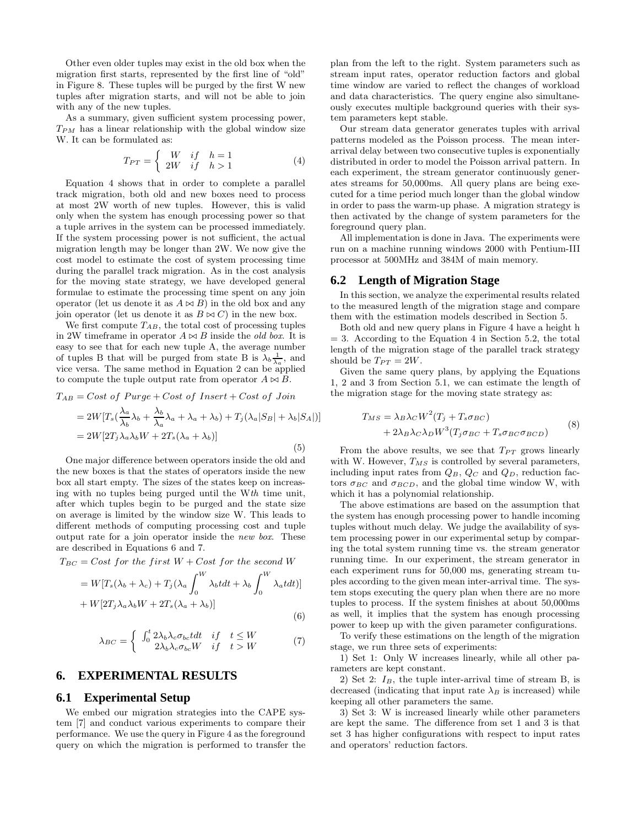Other even older tuples may exist in the old box when the migration first starts, represented by the first line of "old" in Figure 8. These tuples will be purged by the first W new tuples after migration starts, and will not be able to join with any of the new tuples.

As a summary, given sufficient system processing power,  $T_{PM}$  has a linear relationship with the global window size W. It can be formulated as:

$$
T_{PT} = \begin{cases} W & if \quad h = 1 \\ 2W & if \quad h > 1 \end{cases}
$$
 (4)

Equation 4 shows that in order to complete a parallel track migration, both old and new boxes need to process at most 2W worth of new tuples. However, this is valid only when the system has enough processing power so that a tuple arrives in the system can be processed immediately. If the system processing power is not sufficient, the actual migration length may be longer than 2W. We now give the cost model to estimate the cost of system processing time during the parallel track migration. As in the cost analysis for the moving state strategy, we have developed general formulae to estimate the processing time spent on any join operator (let us denote it as  $A \bowtie B$ ) in the old box and any join operator (let us denote it as  $B \bowtie C$ ) in the new box.

We first compute  $T_{AB}$ , the total cost of processing tuples in 2W timeframe in operator  $A \bowtie B$  inside the *old box*. It is easy to see that for each new tuple A, the average number of tuples B that will be purged from state B is  $\lambda_b \frac{1}{\lambda_a}$ , and vice versa. The same method in Equation 2 can be applied to compute the tuple output rate from operator  $A \bowtie B$ .

$$
T_{AB} = Cost\ of\ Pure + Cost\ of\ Insert + Cost\ of\ Join
$$
  
=  $2W[T_s(\frac{\lambda_a}{\lambda_b}\lambda_b + \frac{\lambda_b}{\lambda_a}\lambda_a + \lambda_a + \lambda_b) + T_j(\lambda_a|S_B| + \lambda_b|S_A|)]$   
=  $2W[2T_j\lambda_a\lambda_bW + 2T_s(\lambda_a + \lambda_b)]$  (5)

One major difference between operators inside the old and the new boxes is that the states of operators inside the new box all start empty. The sizes of the states keep on increasing with no tuples being purged until the Wth time unit, after which tuples begin to be purged and the state size on average is limited by the window size W. This leads to different methods of computing processing cost and tuple output rate for a join operator inside the new box. These are described in Equations 6 and 7.

$$
T_{BC} = Cost for the first W + Cost for the second W
$$

$$
= W[T_s(\lambda_b + \lambda_c) + T_j(\lambda_a \int_0^W \lambda_b t dt + \lambda_b \int_0^W \lambda_a t dt)]
$$
  
+ W[2T<sub>j</sub>\lambda<sub>a</sub>\lambda<sub>b</sub>W + 2T<sub>s</sub>(\lambda<sub>a</sub> + \lambda<sub>b</sub>)] (6)

$$
\lambda_{BC} = \begin{cases}\n\int_0^t 2\lambda_b \lambda_c \sigma_{bc} t dt & \text{if} \quad t \le W \\
2\lambda_b \lambda_c \sigma_{bc} W & \text{if} \quad t > W\n\end{cases} \tag{7}
$$

## **6. EXPERIMENTAL RESULTS**

#### **6.1 Experimental Setup**

We embed our migration strategies into the CAPE system [7] and conduct various experiments to compare their performance. We use the query in Figure 4 as the foreground query on which the migration is performed to transfer the

plan from the left to the right. System parameters such as stream input rates, operator reduction factors and global time window are varied to reflect the changes of workload and data characteristics. The query engine also simultaneously executes multiple background queries with their system parameters kept stable.

Our stream data generator generates tuples with arrival patterns modeled as the Poisson process. The mean interarrival delay between two consecutive tuples is exponentially distributed in order to model the Poisson arrival pattern. In each experiment, the stream generator continuously generates streams for 50,000ms. All query plans are being executed for a time period much longer than the global window in order to pass the warm-up phase. A migration strategy is then activated by the change of system parameters for the foreground query plan.

All implementation is done in Java. The experiments were run on a machine running windows 2000 with Pentium-III processor at 500MHz and 384M of main memory.

## **6.2 Length of Migration Stage**

In this section, we analyze the experimental results related to the measured length of the migration stage and compare them with the estimation models described in Section 5.

Both old and new query plans in Figure 4 have a height h  $= 3.$  According to the Equation 4 in Section 5.2, the total length of the migration stage of the parallel track strategy should be  $T_{PT} = 2W$ .

Given the same query plans, by applying the Equations 1, 2 and 3 from Section 5.1, we can estimate the length of the migration stage for the moving state strategy as:

$$
T_{MS} = \lambda_B \lambda_C W^2 (T_j + T_s \sigma_{BC})
$$
  
+ 2\lambda\_B \lambda\_C \lambda\_D W^3 (T\_j \sigma\_{BC} + T\_s \sigma\_{BC} \sigma\_{BC}) (8)

From the above results, we see that  $T_{PT}$  grows linearly with W. However,  $T_{MS}$  is controlled by several parameters, including input rates from  $Q_B$ ,  $Q_C$  and  $Q_D$ , reduction factors  $\sigma_{BC}$  and  $\sigma_{BCD}$ , and the global time window W, with which it has a polynomial relationship.

The above estimations are based on the assumption that the system has enough processing power to handle incoming tuples without much delay. We judge the availability of system processing power in our experimental setup by comparing the total system running time vs. the stream generator running time. In our experiment, the stream generator in each experiment runs for 50,000 ms, generating stream tuples according to the given mean inter-arrival time. The system stops executing the query plan when there are no more tuples to process. If the system finishes at about 50,000ms as well, it implies that the system has enough processing power to keep up with the given parameter configurations.

To verify these estimations on the length of the migration stage, we run three sets of experiments:

1) Set 1: Only W increases linearly, while all other parameters are kept constant.

2) Set 2:  $I_B$ , the tuple inter-arrival time of stream B, is decreased (indicating that input rate  $\lambda_B$  is increased) while keeping all other parameters the same.

3) Set 3: W is increased linearly while other parameters are kept the same. The difference from set 1 and 3 is that set 3 has higher configurations with respect to input rates and operators' reduction factors.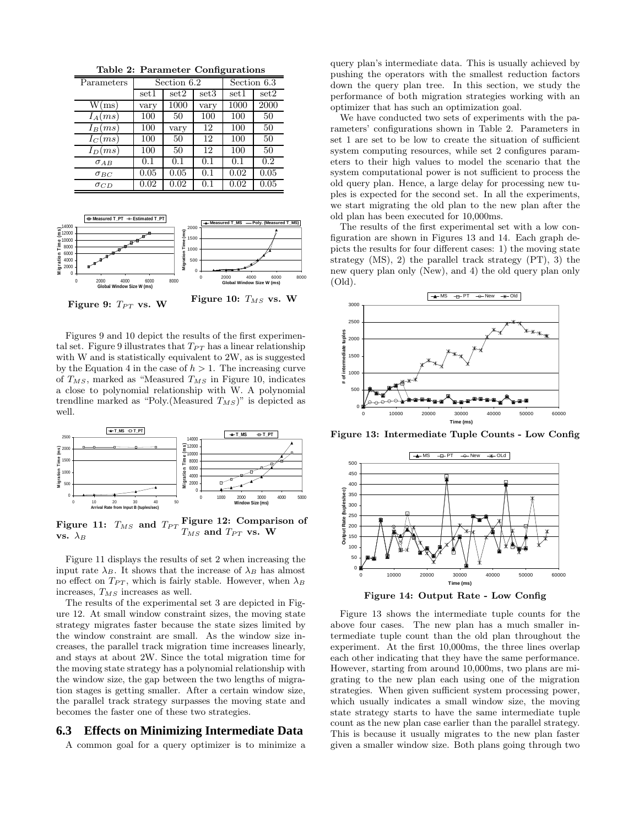Table 2: Parameter Configurations

| Parameters    | Section 6.2 |      |      | Section 6.3 |      |
|---------------|-------------|------|------|-------------|------|
|               | set1        | set2 | set3 | set1        | set2 |
| W(ms)         | vary        | 1000 | vary | 1000        | 2000 |
| $I_A(ms)$     | 100         | 50   | 100  | 100         | 50   |
| $I_B(ms)$     | 100         | vary | 12   | 100         | 50   |
| $I_C(ms)$     | 100         | 50   | 12   | 100         | 50   |
| $I_D(ms)$     | 100         | 50   | 12   | 100         | 50   |
| $\sigma$ AB   | 0.1         | 0.1  | 0.1  | 0.1         | 0.2  |
| $\sigma_{BC}$ | 0.05        | 0.05 | 0.1  | 0.02        | 0.05 |
| $\sigma_{CD}$ | 0.02        | 0.02 | 0.1  | 0.02        | 0.05 |



Figures 9 and 10 depict the results of the first experimental set. Figure 9 illustrates that  $T_{PT}$  has a linear relationship with W and is statistically equivalent to 2W, as is suggested by the Equation 4 in the case of  $h > 1$ . The increasing curve of  $T_{MS}$ , marked as "Measured  $T_{MS}$  in Figure 10, indicates a close to polynomial relationship with W. A polynomial trendline marked as "Poly. (Measured  $T_{MS}$ )" is depicted as well.



Figure 11:  $T_{MS}$  and  $T_{PT}$  Figure 12: Comparison of vs.  $\lambda_B$  $T_{MS}$  and  $T_{PT}$  vs. W

Figure 11 displays the results of set 2 when increasing the input rate  $\lambda_B$ . It shows that the increase of  $\lambda_B$  has almost no effect on  $T_{PT}$ , which is fairly stable. However, when  $\lambda_B$ increases,  $T_{MS}$  increases as well.

The results of the experimental set 3 are depicted in Figure 12. At small window constraint sizes, the moving state strategy migrates faster because the state sizes limited by the window constraint are small. As the window size increases, the parallel track migration time increases linearly, and stays at about 2W. Since the total migration time for the moving state strategy has a polynomial relationship with the window size, the gap between the two lengths of migration stages is getting smaller. After a certain window size, the parallel track strategy surpasses the moving state and becomes the faster one of these two strategies.

# **6.3 Effects on Minimizing Intermediate Data**

A common goal for a query optimizer is to minimize a

query plan's intermediate data. This is usually achieved by pushing the operators with the smallest reduction factors down the query plan tree. In this section, we study the performance of both migration strategies working with an optimizer that has such an optimization goal.

We have conducted two sets of experiments with the parameters' configurations shown in Table 2. Parameters in set 1 are set to be low to create the situation of sufficient system computing resources, while set 2 configures parameters to their high values to model the scenario that the system computational power is not sufficient to process the old query plan. Hence, a large delay for processing new tuples is expected for the second set. In all the experiments, we start migrating the old plan to the new plan after the old plan has been executed for 10,000ms.

The results of the first experimental set with a low configuration are shown in Figures 13 and 14. Each graph depicts the results for four different cases: 1) the moving state strategy (MS), 2) the parallel track strategy (PT), 3) the new query plan only (New), and 4) the old query plan only (Old).



Figure 13: Intermediate Tuple Counts - Low Config



Figure 14: Output Rate - Low Config

Figure 13 shows the intermediate tuple counts for the above four cases. The new plan has a much smaller intermediate tuple count than the old plan throughout the experiment. At the first 10,000ms, the three lines overlap each other indicating that they have the same performance. However, starting from around 10,000ms, two plans are migrating to the new plan each using one of the migration strategies. When given sufficient system processing power, which usually indicates a small window size, the moving state strategy starts to have the same intermediate tuple count as the new plan case earlier than the parallel strategy. This is because it usually migrates to the new plan faster given a smaller window size. Both plans going through two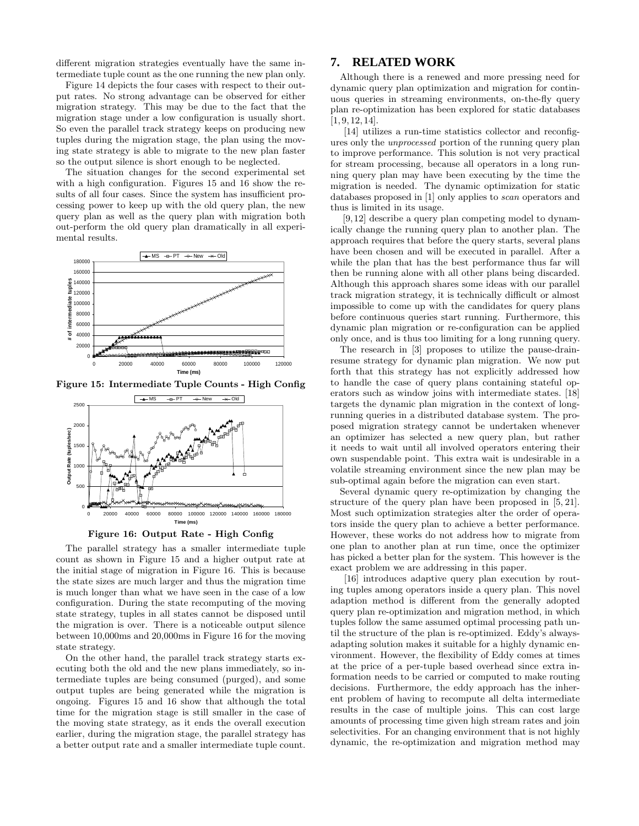different migration strategies eventually have the same intermediate tuple count as the one running the new plan only.

Figure 14 depicts the four cases with respect to their output rates. No strong advantage can be observed for either migration strategy. This may be due to the fact that the migration stage under a low configuration is usually short. So even the parallel track strategy keeps on producing new tuples during the migration stage, the plan using the moving state strategy is able to migrate to the new plan faster so the output silence is short enough to be neglected.

The situation changes for the second experimental set with a high configuration. Figures 15 and 16 show the results of all four cases. Since the system has insufficient processing power to keep up with the old query plan, the new query plan as well as the query plan with migration both out-perform the old query plan dramatically in all experimental results.



Figure 15: Intermediate Tuple Counts - High Config





The parallel strategy has a smaller intermediate tuple count as shown in Figure 15 and a higher output rate at the initial stage of migration in Figure 16. This is because the state sizes are much larger and thus the migration time is much longer than what we have seen in the case of a low configuration. During the state recomputing of the moving state strategy, tuples in all states cannot be disposed until the migration is over. There is a noticeable output silence between 10,000ms and 20,000ms in Figure 16 for the moving state strategy.

On the other hand, the parallel track strategy starts executing both the old and the new plans immediately, so intermediate tuples are being consumed (purged), and some output tuples are being generated while the migration is ongoing. Figures 15 and 16 show that although the total time for the migration stage is still smaller in the case of the moving state strategy, as it ends the overall execution earlier, during the migration stage, the parallel strategy has a better output rate and a smaller intermediate tuple count.

## **7. RELATED WORK**

Although there is a renewed and more pressing need for dynamic query plan optimization and migration for continuous queries in streaming environments, on-the-fly query plan re-optimization has been explored for static databases [1, 9, 12, 14].

[14] utilizes a run-time statistics collector and reconfigures only the unprocessed portion of the running query plan to improve performance. This solution is not very practical for stream processing, because all operators in a long running query plan may have been executing by the time the migration is needed. The dynamic optimization for static databases proposed in [1] only applies to scan operators and thus is limited in its usage.

[9,12] describe a query plan competing model to dynamically change the running query plan to another plan. The approach requires that before the query starts, several plans have been chosen and will be executed in parallel. After a while the plan that has the best performance thus far will then be running alone with all other plans being discarded. Although this approach shares some ideas with our parallel track migration strategy, it is technically difficult or almost impossible to come up with the candidates for query plans before continuous queries start running. Furthermore, this dynamic plan migration or re-configuration can be applied only once, and is thus too limiting for a long running query.

The research in [3] proposes to utilize the pause-drainresume strategy for dynamic plan migration. We now put forth that this strategy has not explicitly addressed how to handle the case of query plans containing stateful operators such as window joins with intermediate states. [18] targets the dynamic plan migration in the context of longrunning queries in a distributed database system. The proposed migration strategy cannot be undertaken whenever an optimizer has selected a new query plan, but rather it needs to wait until all involved operators entering their own suspendable point. This extra wait is undesirable in a volatile streaming environment since the new plan may be sub-optimal again before the migration can even start.

Several dynamic query re-optimization by changing the structure of the query plan have been proposed in [5, 21]. Most such optimization strategies alter the order of operators inside the query plan to achieve a better performance. However, these works do not address how to migrate from one plan to another plan at run time, once the optimizer has picked a better plan for the system. This however is the exact problem we are addressing in this paper.

[16] introduces adaptive query plan execution by routing tuples among operators inside a query plan. This novel adaption method is different from the generally adopted query plan re-optimization and migration method, in which tuples follow the same assumed optimal processing path until the structure of the plan is re-optimized. Eddy's alwaysadapting solution makes it suitable for a highly dynamic environment. However, the flexibility of Eddy comes at times at the price of a per-tuple based overhead since extra information needs to be carried or computed to make routing decisions. Furthermore, the eddy approach has the inherent problem of having to recompute all delta intermediate results in the case of multiple joins. This can cost large amounts of processing time given high stream rates and join selectivities. For an changing environment that is not highly dynamic, the re-optimization and migration method may